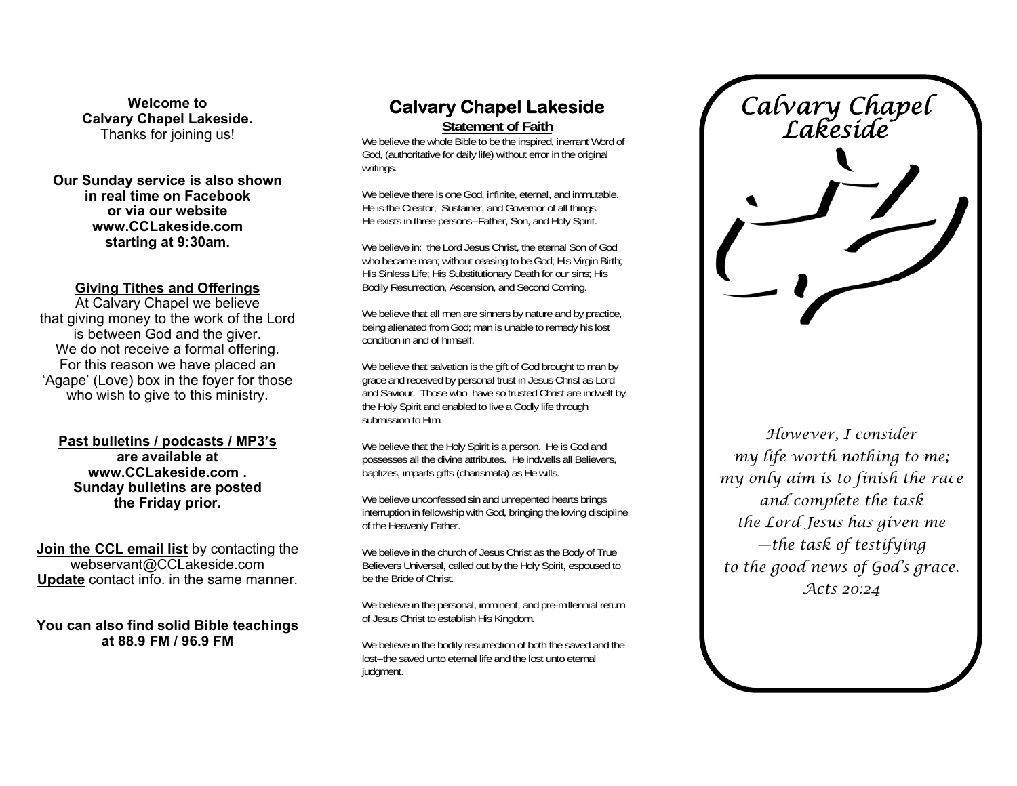**Welcome to Calvary Chapel Lakeside.**  Thanks for joining us!

**Our Sunday service is also shown in real time on Facebook or via our website www.CCLakeside.com starting at 9:30am.** 

#### **Giving Tithes and Offerings**

At Calvary Chapel we believe that giving money to the work of the Lord is between God and the giver. We do not receive a formal offering. For this reason we have placed an 'Agape' (Love) box in the foyer for those who wish to give to this ministry.

**Past bulletins / podcasts / MP3's are available at www.CCLakeside.com . Sunday bulletins are posted the Friday prior.** 

**Join the CCL email list** by contacting the webservant@CCLakeside.com **Update** contact info. in the same manner.

**You can also find solid Bible teachings at 88.9 FM / 96.9 FM** 

# **Calvary Chapel Lakeside**

**Statement of Faith**

We believe the whole Bible to be the inspired, inerrant Word of God, (authoritative for daily life) without error in the original writings.

We believe there is one God, infinite, eternal, and immutable. He is the Creator, Sustainer, and Governor of all things. He exists in three persons--Father, Son, and Holy Spirit.

We believe in: the Lord Jesus Christ, the eternal Son of God who became man; without ceasing to be God; His Virgin Birth; His Sinless Life; His Substitutionary Death for our sins; His Bodily Resurrection, Ascension, and Second Coming.

We believe that all men are sinners by nature and by practice, being alienated from God; man is unable to remedy his lost condition in and of himself.

We believe that salvation is the gift of God brought to man by grace and received by personal trust in Jesus Christ as Lord and Saviour. Those who have so trusted Christ are indwelt by the Holy Spirit and enabled to live a Godly life through submission to Him.

We believe that the Holy Spirit is a person. He is God and possesses all the divine attributes. He indwells all Believers, baptizes, imparts gifts (charismata) as He wills.

We believe unconfessed sin and unrepented hearts brings interruption in fellowship with God, bringing the loving discipline of the Heavenly Father.

We believe in the church of Jesus Christ as the Body of True Believers Universal, called out by the Holy Spirit, espoused to be the Bride of Christ.

We believe in the personal, imminent, and pre-millennial return of Jesus Christ to establish His Kingdom.

We believe in the bodily resurrection of both the saved and the lost--the saved unto eternal life and the lost unto eternal judgment.

*Calvary Chapel Lakeside* 

*However, I consider my life worth nothing to me; my only aim is to finish the race and complete the task the Lord Jesus has given me —the task of testifying to the good news of God's grace. Acts 20:24*